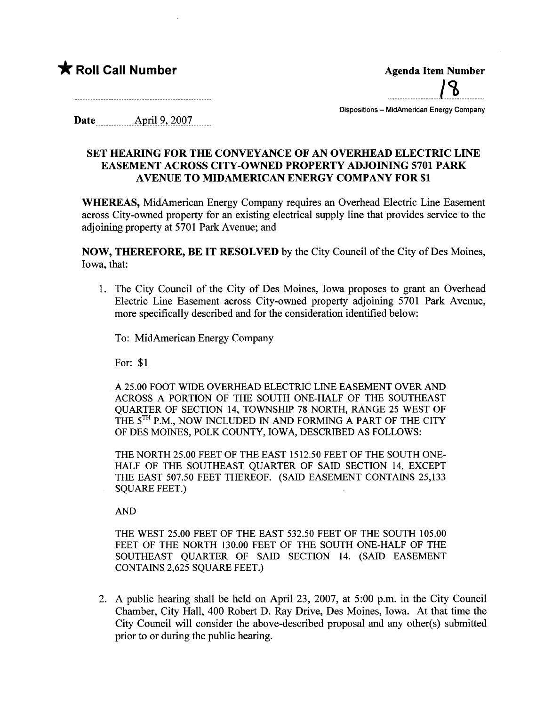## \* Roll Call Number Agenda Item Number

.....\_\_m\_\_mm\_\_L~.m.m\_\_

Dispositions - MidAmerican Energy Company

Date \_ \_\_\_\_\_\_\_\_\_\_Am:U .2,\_2QS)J\_\_\_\_\_

## SET HEARING FOR THE CONVEYANCE OF AN OVERHEAD ELECTRIC LINE EASEMENT ACROSS CITY-OWNED PROPERTY ADJOINING 5701 PARK AVENUE TO MIDAMERICAN ENERGY COMPANY FOR \$1

WHEREAS, MidAmerican Energy Company requires an Overhead Electric Line Easement across City-owned property for an existing electrical supply line that provides service to the adjoining property at 5701 Park Avenue; and

NOW, THEREFORE, BE IT RESOLVED by the City Council of the City of Des Moines, Iowa, that:

1. The City Council of the City of Des Moines, Iowa proposes to grant an Overhead Electric Line Easement across City-owned property adjoining 5701 Park Avenue, more specifically described and for the consideration identified below:

To: MidAmerican Energy Company

For: \$1

A 25.00 FOOT WIDE OVERHEAD ELECTRIC LINE EASEMENT OVER AND ACROSS A PORTION OF THE SOUTH ONE-HALF OF THE SOUTHEAST QUARTER OF SECTION 14, TOWNSHIP 78 NORTH, RANGE 25 WEST OF THE 5<sup>TH</sup> P.M., NOW INCLUDED IN AND FORMING A PART OF THE CITY OF DES MOINS, POLK COUNTY, IOWA, DESCRIBED AS FOLLOWS:

THE NORTH 25.00 FEET OF THE EAST 1512.50 FEET OF THE SOUTH ONE-HALF OF THE SOUTHEAST OUARTER OF SAID SECTION 14, EXCEPT THE EAST 507.50 FEET THEREOF. (SAID EASEMENT CONTAINS 25,133 SQUARE FEET.)

AND

THE WEST 25.00 FEET OF THE EAST 532.50 FEET OF THE SOUTH 105.00 FEET OF THE NORTH 130.00 FEET OF THE SOUTH ONE-HALF OF THE SOUTHEAST QUARTER OF SAID SECTION 14. (SAID EASEMENT CONTAINS 2,625 SQUARE FEET.)

2. A public hearing shall be held on April 23, 2007, at 5:00 p.m. in the City Council Chamber, City Hall, 400 Robert D. Ray Drive, Des Moines, Iowa. At that time the City Council will consider the above-described proposal and any other(s) submitted prior to or during the public hearng.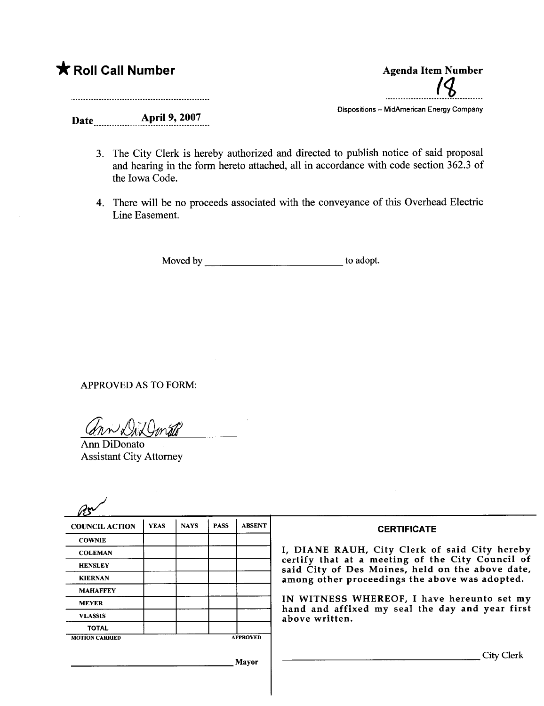

- 3. The City Clerk is hereby authorized and directed to publish notice of said proposal and hearing in the form hereto attached, all in accordance with code section 362.3 of the Iowa Code.
- 4. There will be no proceeds associated with the conveyance of this Overhead Electric Line Easement.

Moved by to adopt.

APPROVED AS TO FORM:

 $r_{n}$   $\sqrt{h}$  and  $r_{n}$ 

Ann DiDonato Assistant City Attorney

| <b>COUNCIL ACTION</b> | <b>YEAS</b> | <b>NAYS</b> | <b>PASS</b> | <b>ABSENT</b>   | <b>CERTIFICATE</b>                                                                                   |  |  |  |
|-----------------------|-------------|-------------|-------------|-----------------|------------------------------------------------------------------------------------------------------|--|--|--|
| <b>COWNIE</b>         |             |             |             |                 | I, DIANE RAUH, City Clerk of said City hereby                                                        |  |  |  |
| <b>COLEMAN</b>        |             |             |             |                 |                                                                                                      |  |  |  |
| <b>HENSLEY</b>        |             |             |             |                 | certify that at a meeting of the City Council of<br>said City of Des Moines, held on the above date, |  |  |  |
| <b>KIERNAN</b>        |             |             |             |                 | among other proceedings the above was adopted.                                                       |  |  |  |
| <b>MAHAFFEY</b>       |             |             |             |                 |                                                                                                      |  |  |  |
| <b>MEYER</b>          |             |             |             |                 | IN WITNESS WHEREOF, I have hereunto set my                                                           |  |  |  |
| <b>VLASSIS</b>        |             |             |             |                 | hand and affixed my seal the day and year first<br>above written.                                    |  |  |  |
| <b>TOTAL</b>          |             |             |             |                 |                                                                                                      |  |  |  |
| <b>MOTION CARRIED</b> |             |             |             | <b>APPROVED</b> |                                                                                                      |  |  |  |
|                       |             |             |             | Mavor           | City Clerk                                                                                           |  |  |  |